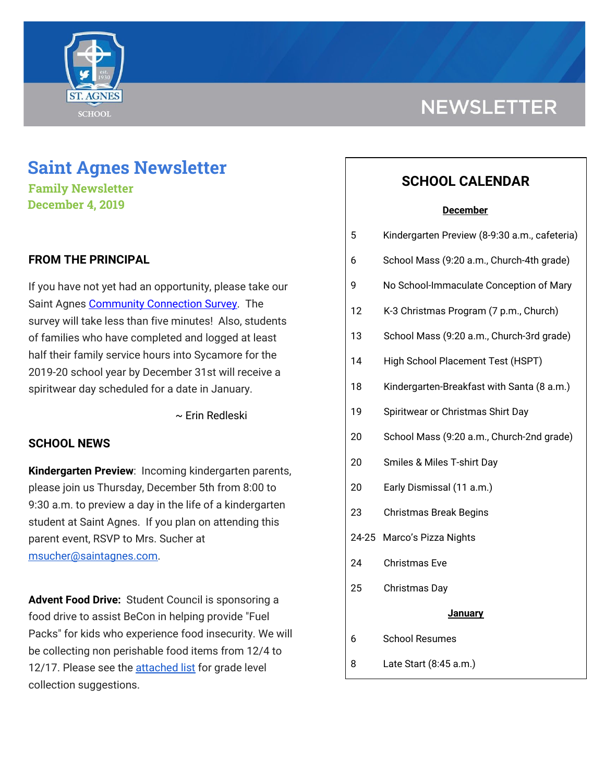

## **Saint Agnes Newsletter**

**Family Newsletter December 4, 2019**

## **FROM THE PRINCIPAL**

If you have not yet had an opportunity, please take our Saint Agnes [Community](https://www.surveymonkey.com/r/JJ5CH8Y) Connection Survey. The survey will take less than five minutes! Also, students of families who have completed and logged at least half their family service hours into Sycamore for the 2019-20 school year by December 31st will receive a spiritwear day scheduled for a date in January.

~ Erin Redleski

#### **SCHOOL NEWS**

**Kindergarten Preview**: Incoming kindergarten parents, please join us Thursday, December 5th from 8:00 to 9:30 a.m. to preview a day in the life of a kindergarten student at Saint Agnes. If you plan on attending this parent event, RSVP to Mrs. Sucher at [msucher@saintagnes.com.](mailto:msucher@saintagnes.com)

**Advent Food Drive:** Student Council is sponsoring a food drive to assist BeCon in helping provide "Fuel Packs" for kids who experience food insecurity. We will be collecting non perishable food items from 12/4 to 12/17. Please see the [attached](https://school.saintagnes.com/wp-content/uploads/2019/11/BeCon-food-drive-list-2019-2020.pdf) list for grade level collection suggestions.

# **NEWSLETTER**

## **SCHOOL CALENDAR**

#### **December**

| 5              | Kindergarten Preview (8-9:30 a.m., cafeteria) |  |
|----------------|-----------------------------------------------|--|
| 6              | School Mass (9:20 a.m., Church-4th grade)     |  |
| 9              | No School-Immaculate Conception of Mary       |  |
| 12             | K-3 Christmas Program (7 p.m., Church)        |  |
| 13             | School Mass (9:20 a.m., Church-3rd grade)     |  |
| 14             | High School Placement Test (HSPT)             |  |
| 18             | Kindergarten-Breakfast with Santa (8 a.m.)    |  |
| 19             | Spiritwear or Christmas Shirt Day             |  |
| 20             | School Mass (9:20 a.m., Church-2nd grade)     |  |
| 20             | Smiles & Miles T-shirt Day                    |  |
| 20             | Early Dismissal (11 a.m.)                     |  |
| 23             | <b>Christmas Break Begins</b>                 |  |
| 24-25          | Marco's Pizza Nights                          |  |
| 24             | <b>Christmas Eve</b>                          |  |
| 25             | Christmas Day                                 |  |
| <b>January</b> |                                               |  |
| 6              | <b>School Resumes</b>                         |  |
| 8              | Late Start (8:45 a.m.)                        |  |